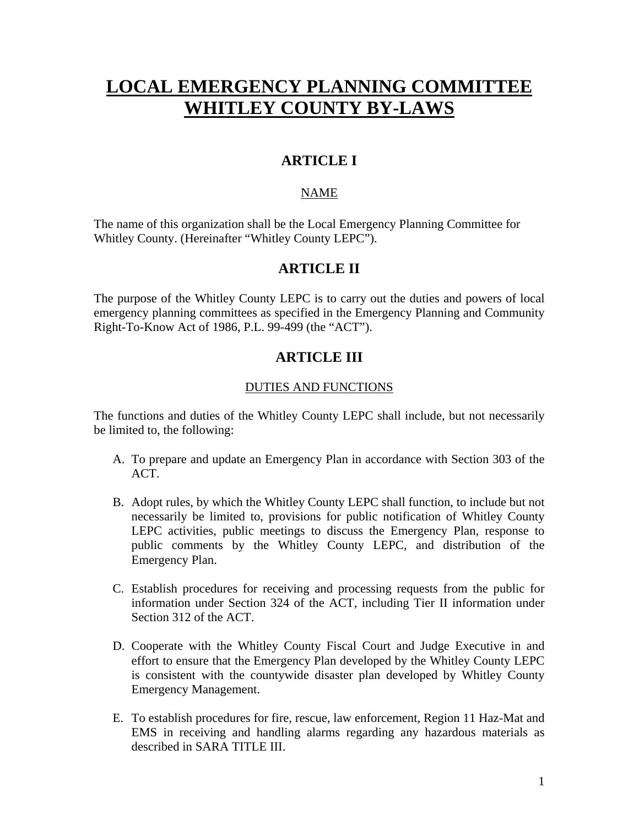# **LOCAL EMERGENCY PLANNING COMMITTEE WHITLEY COUNTY BY-LAWS**

# **ARTICLE I**

# NAME

The name of this organization shall be the Local Emergency Planning Committee for Whitley County. (Hereinafter "Whitley County LEPC").

# **ARTICLE II**

The purpose of the Whitley County LEPC is to carry out the duties and powers of local emergency planning committees as specified in the Emergency Planning and Community Right-To-Know Act of 1986, P.L. 99-499 (the "ACT").

# **ARTICLE III**

# DUTIES AND FUNCTIONS

The functions and duties of the Whitley County LEPC shall include, but not necessarily be limited to, the following:

- A. To prepare and update an Emergency Plan in accordance with Section 303 of the ACT.
- B. Adopt rules, by which the Whitley County LEPC shall function, to include but not necessarily be limited to, provisions for public notification of Whitley County LEPC activities, public meetings to discuss the Emergency Plan, response to public comments by the Whitley County LEPC, and distribution of the Emergency Plan.
- C. Establish procedures for receiving and processing requests from the public for information under Section 324 of the ACT, including Tier II information under Section 312 of the ACT.
- D. Cooperate with the Whitley County Fiscal Court and Judge Executive in and effort to ensure that the Emergency Plan developed by the Whitley County LEPC is consistent with the countywide disaster plan developed by Whitley County Emergency Management.
- E. To establish procedures for fire, rescue, law enforcement, Region 11 Haz-Mat and EMS in receiving and handling alarms regarding any hazardous materials as described in SARA TITLE III.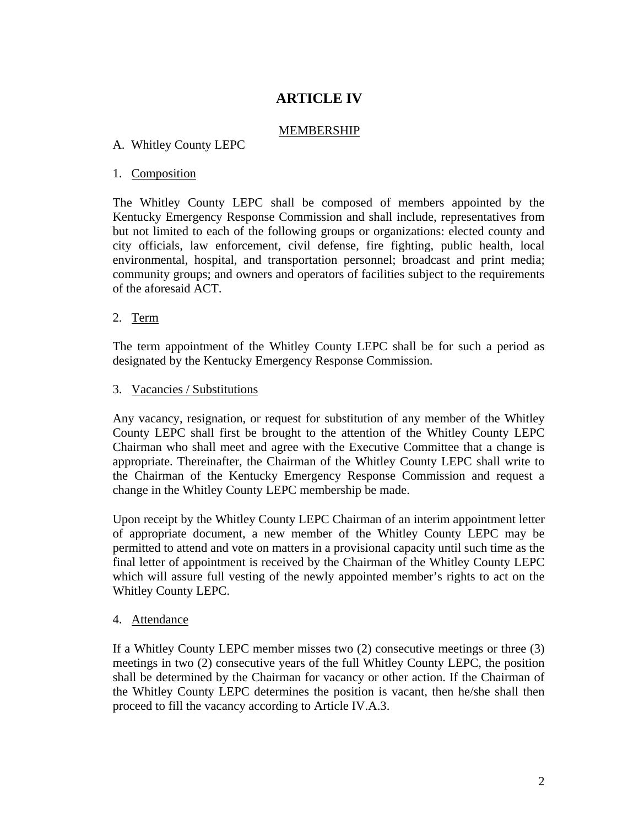# **ARTICLE IV**

### MEMBERSHIP

### A.Whitley County LEPC

#### 1. Composition

The Whitley County LEPC shall be composed of members appointed by the Kentucky Emergency Response Commission and shall include, representatives from but not limited to each of the following groups or organizations: elected county and city officials, law enforcement, civil defense, fire fighting, public health, local environmental, hospital, and transportation personnel; broadcast and print media; community groups; and owners and operators of facilities subject to the requirements of the aforesaid ACT.

#### 2. Term

The term appointment of the Whitley County LEPC shall be for such a period as designated by the Kentucky Emergency Response Commission.

#### 3. Vacancies / Substitutions

Any vacancy, resignation, or request for substitution of any member of the Whitley County LEPC shall first be brought to the attention of the Whitley County LEPC Chairman who shall meet and agree with the Executive Committee that a change is appropriate. Thereinafter, the Chairman of the Whitley County LEPC shall write to the Chairman of the Kentucky Emergency Response Commission and request a change in the Whitley County LEPC membership be made.

Upon receipt by the Whitley County LEPC Chairman of an interim appointment letter of appropriate document, a new member of the Whitley County LEPC may be permitted to attend and vote on matters in a provisional capacity until such time as the final letter of appointment is received by the Chairman of the Whitley County LEPC which will assure full vesting of the newly appointed member's rights to act on the Whitley County LEPC.

#### 4. Attendance

If a Whitley County LEPC member misses two (2) consecutive meetings or three (3) meetings in two (2) consecutive years of the full Whitley County LEPC, the position shall be determined by the Chairman for vacancy or other action. If the Chairman of the Whitley County LEPC determines the position is vacant, then he/she shall then proceed to fill the vacancy according to Article IV.A.3.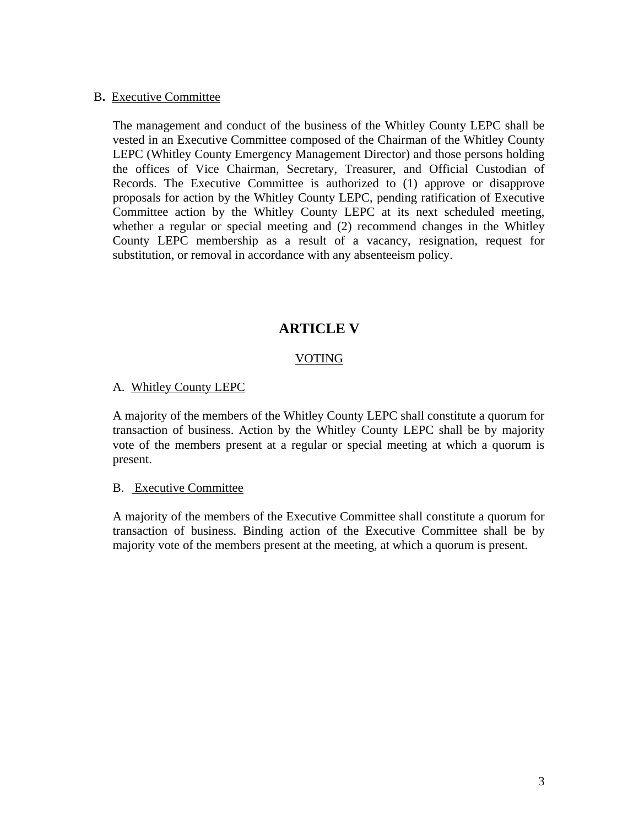#### B**.** Executive Committee

The management and conduct of the business of the Whitley County LEPC shall be vested in an Executive Committee composed of the Chairman of the Whitley County LEPC (Whitley County Emergency Management Director) and those persons holding the offices of Vice Chairman, Secretary, Treasurer, and Official Custodian of Records. The Executive Committee is authorized to (1) approve or disapprove proposals for action by the Whitley County LEPC, pending ratification of Executive Committee action by the Whitley County LEPC at its next scheduled meeting, whether a regular or special meeting and (2) recommend changes in the Whitley County LEPC membership as a result of a vacancy, resignation, request for substitution, or removal in accordance with any absenteeism policy.

# **ARTICLE V**

# VOTING

### A. Whitley County LEPC

A majority of the members of the Whitley County LEPC shall constitute a quorum for transaction of business. Action by the Whitley County LEPC shall be by majority vote of the members present at a regular or special meeting at which a quorum is present.

#### B. Executive Committee

A majority of the members of the Executive Committee shall constitute a quorum for transaction of business. Binding action of the Executive Committee shall be by majority vote of the members present at the meeting, at which a quorum is present.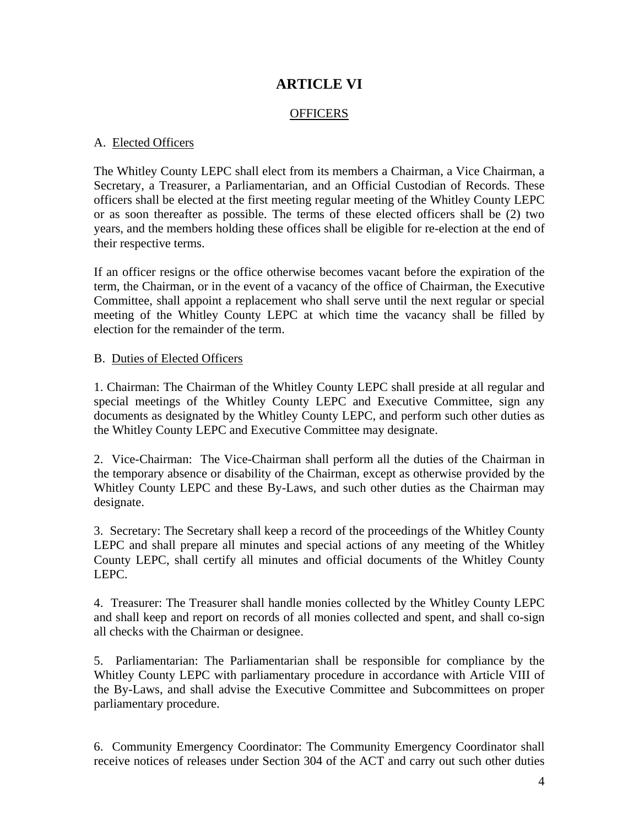# **ARTICLE VI**

### **OFFICERS**

### A. Elected Officers

The Whitley County LEPC shall elect from its members a Chairman, a Vice Chairman, a Secretary, a Treasurer, a Parliamentarian, and an Official Custodian of Records. These officers shall be elected at the first meeting regular meeting of the Whitley County LEPC or as soon thereafter as possible. The terms of these elected officers shall be (2) two years, and the members holding these offices shall be eligible for re-election at the end of their respective terms.

If an officer resigns or the office otherwise becomes vacant before the expiration of the term, the Chairman, or in the event of a vacancy of the office of Chairman, the Executive Committee, shall appoint a replacement who shall serve until the next regular or special meeting of the Whitley County LEPC at which time the vacancy shall be filled by election for the remainder of the term.

### B. Duties of Elected Officers

1. Chairman: The Chairman of the Whitley County LEPC shall preside at all regular and special meetings of the Whitley County LEPC and Executive Committee, sign any documents as designated by the Whitley County LEPC, and perform such other duties as the Whitley County LEPC and Executive Committee may designate.

2. Vice-Chairman: The Vice-Chairman shall perform all the duties of the Chairman in the temporary absence or disability of the Chairman, except as otherwise provided by the Whitley County LEPC and these By-Laws, and such other duties as the Chairman may designate.

3. Secretary: The Secretary shall keep a record of the proceedings of the Whitley County LEPC and shall prepare all minutes and special actions of any meeting of the Whitley County LEPC, shall certify all minutes and official documents of the Whitley County LEPC.

4. Treasurer: The Treasurer shall handle monies collected by the Whitley County LEPC and shall keep and report on records of all monies collected and spent, and shall co-sign all checks with the Chairman or designee.

5. Parliamentarian: The Parliamentarian shall be responsible for compliance by the Whitley County LEPC with parliamentary procedure in accordance with Article VIII of the By-Laws, and shall advise the Executive Committee and Subcommittees on proper parliamentary procedure.

6. Community Emergency Coordinator: The Community Emergency Coordinator shall receive notices of releases under Section 304 of the ACT and carry out such other duties